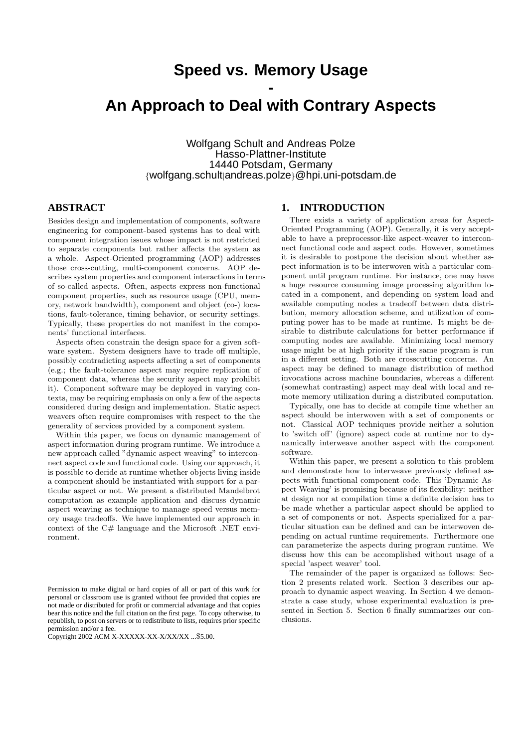# **Speed vs. Memory Usage**

# **- An Approach to Deal with Contrary Aspects**

Wolfgang Schult and Andreas Polze Hasso-Plattner-Institute 14440 Potsdam, Germany {wolfgang.schult|andreas.polze}@hpi.uni-potsdam.de

#### **ABSTRACT**

Besides design and implementation of components, software engineering for component-based systems has to deal with component integration issues whose impact is not restricted to separate components but rather affects the system as a whole. Aspect-Oriented programming (AOP) addresses those cross-cutting, multi-component concerns. AOP describes system properties and component interactions in terms of so-called aspects. Often, aspects express non-functional component properties, such as resource usage (CPU, memory, network bandwidth), component and object (co-) locations, fault-tolerance, timing behavior, or security settings. Typically, these properties do not manifest in the components' functional interfaces.

Aspects often constrain the design space for a given software system. System designers have to trade off multiple, possibly contradicting aspects affecting a set of components (e.g.; the fault-tolerance aspect may require replication of component data, whereas the security aspect may prohibit it). Component software may be deployed in varying contexts, may be requiring emphasis on only a few of the aspects considered during design and implementation. Static aspect weavers often require compromises with respect to the the generality of services provided by a component system.

Within this paper, we focus on dynamic management of aspect information during program runtime. We introduce a new approach called "dynamic aspect weaving" to interconnect aspect code and functional code. Using our approach, it is possible to decide at runtime whether objects living inside a component should be instantiated with support for a particular aspect or not. We present a distributed Mandelbrot computation as example application and discuss dynamic aspect weaving as technique to manage speed versus memory usage tradeoffs. We have implemented our approach in context of the C# language and the Microsoft .NET environment.

#### **1. INTRODUCTION**

There exists a variety of application areas for Aspect-Oriented Programming (AOP). Generally, it is very acceptable to have a preprocessor-like aspect-weaver to interconnect functional code and aspect code. However, sometimes it is desirable to postpone the decision about whether aspect information is to be interwoven with a particular component until program runtime. For instance, one may have a huge resource consuming image processing algorithm located in a component, and depending on system load and available computing nodes a tradeoff between data distribution, memory allocation scheme, and utilization of computing power has to be made at runtime. It might be desirable to distribute calculations for better performance if computing nodes are available. Minimizing local memory usage might be at high priority if the same program is run in a different setting. Both are crosscutting concerns. An aspect may be defined to manage distribution of method invocations across machine boundaries, whereas a different (somewhat contrasting) aspect may deal with local and remote memory utilization during a distributed computation.

Typically, one has to decide at compile time whether an aspect should be interwoven with a set of components or not. Classical AOP techniques provide neither a solution to 'switch off' (ignore) aspect code at runtime nor to dynamically interweave another aspect with the component software.

Within this paper, we present a solution to this problem and demonstrate how to interweave previously defined aspects with functional component code. This 'Dynamic Aspect Weaving' is promising because of its flexibility: neither at design nor at compilation time a definite decision has to be made whether a particular aspect should be applied to a set of components or not. Aspects specialized for a particular situation can be defined and can be interwoven depending on actual runtime requirements. Furthermore one can parameterize the aspects during program runtime. We discuss how this can be accomplished without usage of a special 'aspect weaver' tool.

The remainder of the paper is organized as follows: Section 2 presents related work. Section 3 describes our approach to dynamic aspect weaving. In Section 4 we demonstrate a case study, whose experimental evaluation is presented in Section 5. Section 6 finally summarizes our conclusions.

Permission to make digital or hard copies of all or part of this work for personal or classroom use is granted without fee provided that copies are not made or distributed for profit or commercial advantage and that copies bear this notice and the full citation on the first page. To copy otherwise, to republish, to post on servers or to redistribute to lists, requires prior specific permission and/or a fee.

Copyright 2002 ACM X-XXXXX-XX-X/XX/XX ...\$5.00.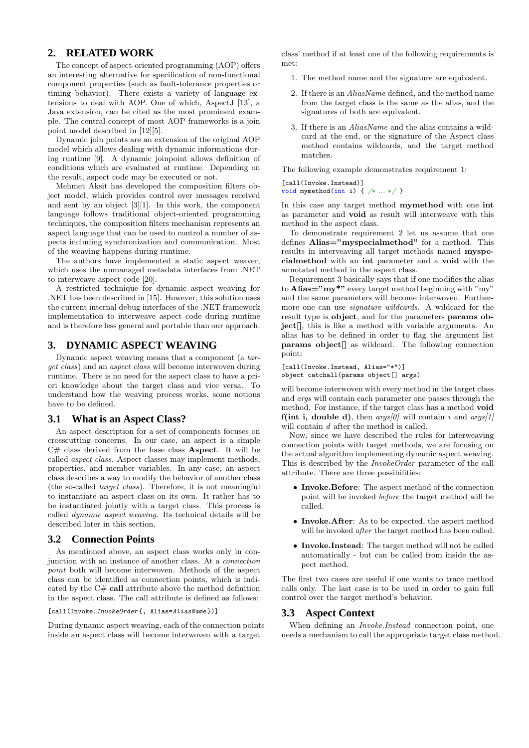# **2. RELATED WORK**

The concept of aspect-oriented programming (AOP) offers an interesting alternative for specification of non-functional component properties (such as fault-tolerance properties or timing behavior). There exists a variety of language extensions to deal with AOP. One of which, AspectJ [13], a Java extension, can be cited as the most prominent example. The central concept of most AOP-frameworks is a join point model described in [12][5].

Dynamic join points are an extension of the original AOP model which allows dealing with dynamic informations during runtime [9]. A dynamic joinpoint allows definition of conditions which are evaluated at runtime. Depending on the result, aspect code may be executed or not.

Mehmet Aksit has developed the composition filters object model, which provides control over messages received and sent by an object [3][1]. In this work, the component language follows traditional object-oriented programming techniques, the composition filters mechanism represents an aspect language that can be used to control a number of aspects including synchronization and communication. Most of the weaving happens during runtime.

The authors have implemented a static aspect weaver, which uses the unmanaged metadata interfaces from .NET to interweave aspect code [20].

A restricted technique for dynamic aspect weaving for .NET has been described in [15]. However, this solution uses the current internal debug interfaces of the .NET framework implementation to interweave aspect code during runtime and is therefore less general and portable than our approach.

# **3. DYNAMIC ASPECT WEAVING**

Dynamic aspect weaving means that a component (a target class) and an aspect class will become interwoven during runtime. There is no need for the aspect class to have a priori knowledge about the target class and vice versa. To understand how the weaving process works, some notions have to be defined.

#### **3.1 What is an Aspect Class?**

An aspect description for a set of components focuses on crosscutting concerns. In our case, an aspect is a simple  $C#$  class derived from the base class **Aspect**. It will be called aspect class. Aspect classes may implement methods, properties, and member variables. In any case, an aspect class describes a way to modify the behavior of another class (the so-called target class). Therefore, it is not meaningful to instantiate an aspect class on its own. It rather has to be instantiated jointly with a target class. This process is called dynamic aspect weaving. Its technical details will be described later in this section.

#### **3.2 Connection Points**

As mentioned above, an aspect class works only in conjunction with an instance of another class. At a connection point both will become interwoven. Methods of the aspect class can be identified as connection points, which is indicated by the C# call attribute above the method definition in the aspect class. The call attribute is defined as follows:

#### [call(Invoke.*InvokeOrder* {, Alias=AliasName})]

During dynamic aspect weaving, each of the connection points inside an aspect class will become interwoven with a target

class' method if at least one of the following requirements is met:

- 1. The method name and the signature are equivalent.
- 2. If there is an AliasName defined, and the method name from the target class is the same as the alias, and the signatures of both are equivalent.
- 3. If there is an AliasName and the alias contains a wildcard at the end, or the signature of the Aspect class method contains wildcards, and the target method matches.

The following example demonstrates requirement 1:

[call(Invoke.Instead)] void mymethod(int i) { /∗ ... ∗/ }

In this case any target method mymethod with one int as parameter and void as result will interweave with this method in the aspect class.

To demonstrate requirement 2 let us assume that one defines Alias="myspecialmethod" for a method. This results in interveaving all target methods named myspecialmethod with an int parameter and a void with the annotated method in the aspect class.

Requirement 3 basically says that if one modifies the alias to Alias=" $m\mathbf{v}^*$ " every target method beginning with "my" and the same parameters will become interwoven. Furthermore one can use *signature wildcards*. A wildcard for the result type is object, and for the parameters params object[], this is like a method with variable arguments. An alias has to be defined in order to flag the argument list params object[] as wildcard. The following connection point:

[call(Invoke.Instead, Alias="\*")] object catchall(params object[] args)

will become interwoven with every method in the target class and args will contain each parameter one passes through the method. For instance, if the target class has a method void f(int i, double d), then  $\arg s/0$  will contain i and  $\arg s/1$ will contain d after the method is called.

Now, since we have described the rules for interweaving connection points with target methods, we are focusing on the actual algorithm implementing dynamic aspect weaving. This is described by the InvokeOrder parameter of the call attribute. There are three possibilities:

- Invoke.Before: The aspect method of the connection point will be invoked before the target method will be called.
- Invoke.After: As to be expected, the aspect method will be invoked after the target method has been called.
- Invoke.Instead: The target method will not be called automatically - but can be called from inside the aspect method.

The first two cases are useful if one wants to trace method calls only. The last case is to be used in order to gain full control over the target method's behavior.

#### **3.3 Aspect Context**

When defining an Invoke.Instead connection point, one needs a mechanism to call the appropriate target class method.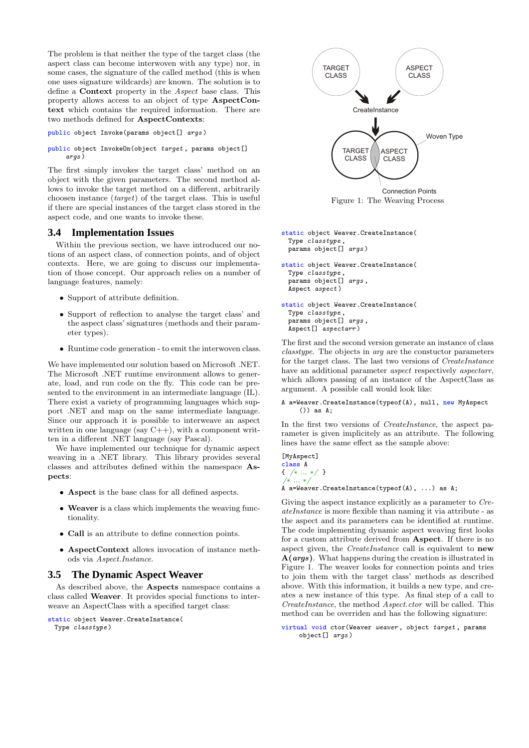The problem is that neither the type of the target class (the aspect class can become interwoven with any type) nor, in some cases, the signature of the called method (this is when one uses signature wildcards) are known. The solution is to define a Context property in the Aspect base class. This property allows access to an object of type AspectContext which contains the required information. There are two methods defined for AspectContexts:

```
public object Invoke(params object[] args )
```
public object InvokeOn(object target , params object[] args )

The first simply invokes the target class' method on an object with the given parameters. The second method allows to invoke the target method on a different, arbitrarily choosen instance (target) of the target class. This is useful if there are special instances of the target class stored in the aspect code, and one wants to invoke these.

#### **3.4 Implementation Issues**

Within the previous section, we have introduced our notions of an aspect class, of connection points, and of object contexts. Here, we are going to discuss our implementation of those concept. Our approach relies on a number of language features, namely:

- Support of attribute definition.
- Support of reflection to analyse the target class' and the aspect class' signatures (methods and their parameter types).
- Runtime code generation to emit the interwoven class.

We have implemented our solution based on Microsoft .NET. The Microsoft .NET runtime environment allows to generate, load, and run code on the fly. This code can be presented to the environment in an intermediate language (IL). There exist a variety of programming languages which support .NET and map on the same intermediate language. Since our approach it is possible to interweave an aspect written in one language (say  $C++$ ), with a component written in a different .NET language (say Pascal).

We have implemented our technique for dynamic aspect weaving in a .NET library. This library provides several classes and attributes defined within the namespace Aspects:

- Aspect is the base class for all defined aspects.
- Weaver is a class which implements the weaving functionality.
- Call is an attribute to define connection points.
- AspectContext allows invocation of instance methods via Aspect.Instance.

# **3.5 The Dynamic Aspect Weaver**

As described above, the Aspects namespace contains a class called Weaver. It provides special functions to interweave an AspectClass with a specified target class:

```
static object Weaver.CreateInstance(
```

```
Type classtype )
```


```
static object Weaver.CreateInstance(
 Type classtype ,
 params object[] args )
```
static object Weaver.CreateInstance( Type classtype , params object[] args , Aspect aspect )

static object Weaver.CreateInstance( Type classtype , params object[] args , Aspect[] aspectarr )

The first and the second version generate an instance of class classtype. The objects in arg are the constuctor parameters for the target class. The last two versions of CreateInstance have an additional parameter *aspect* respectively *aspectarr*, which allows passing of an instance of the AspectClass as argument. A possible call would look like:

```
A a=Weaver.CreateInstance(typeof(A), null, new MyAspect
    ()) as A;
```
In the first two versions of CreateInstance, the aspect parameter is given implicitely as an attribute. The following lines have the same effect as the sample above:

```
[MyAspect]
class A
{ /∗ ... ∗/ }
/∗ ... ∗/
```
A a=Weaver.CreateInstance(typeof(A), ...) as A;

Giving the aspect instance explicitly as a parameter to CreateInstance is more flexible than naming it via attribute - as the aspect and its parameters can be identified at runtime. The code implementing dynamic aspect weaving first looks for a custom attribute derived from Aspect. If there is no aspect given, the *CreateInstance* call is equivalent to **new**  $A(args)$ . What happens during the creation is illustrated in Figure 1. The weaver looks for connection points and tries to join them with the target class' methods as described above. With this information, it builds a new type, and creates a new instance of this type. As final step of a call to CreateInstance, the method Aspect.ctor will be called. This method can be overriden and has the following signature:

```
virtual void ctor(Weaver weaver , object target , params
    object[] args )
```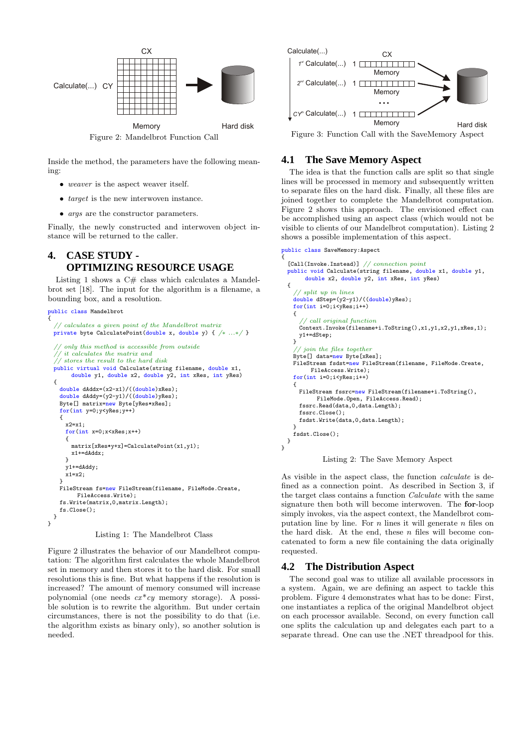

Inside the method, the parameters have the following meaning:

- weaver is the aspect weaver itself.
- *target* is the new interwoven instance.
- *args* are the constructor parameters.

Finally, the newly constructed and interwoven object instance will be returned to the caller.

# **4. CASE STUDY - OPTIMIZING RESOURCE USAGE**

Listing 1 shows a  $C#$  class which calculates a Mandelbrot set [18]. The input for the algorithm is a filename, a bounding box, and a resolution.

```
public class Mandelbrot
{
     // calculates a given point of the Mandelbrot matrix
 private byte CalculatePoint(double x, double y) { /∗ ...∗/ }
     only this method is accessible from outside
     it calculates the matrix and
  \sqrt{2/3} stores the result to the hard disk
 public virtual void Calculate(string filename, double x1,
        double y1, double x2, double y2, int xRes, int yRes)
  {
    double dAddx=(x2-x1)/((double)xRes);
    double dAddy=(y2-y1)/((double)yRes);
    Byte[] matrix=new Byte[yRes*xRes];
    for(int y=0;y<yRes;y++)
    {
      x2=x1;
      for(int x=0; x < xRes;x++){
        matrix[xRes*y+x]=CalculatePoint(x1,y1);
        x1+=dAddx;
      }
      y1+=dAddy;
      x1=x2:
    }<br>FileStream fs=new FileStream(filename, FileMode.Create,
          FileAccess.Write);
    fs.Write(matrix,0,matrix.Length);
    fs.Close();
 }
}
Calculate (...) CY<br>
Calculate (...) CY<br>
Needed Needed Needed Needed Associations (...) The main of the state of the state of the state of the state of the state of the state of the state of the state of the state of the s
```
Listing 1: The Mandelbrot Class

Figure 2 illustrates the behavior of our Mandelbrot computation: The algorithm first calculates the whole Mandelbrot set in memory and then stores it to the hard disk. For small resolutions this is fine. But what happens if the resolution is increased? The amount of memory consumed will increase polynomial (one needs  $cx*cy$  memory storage). A possible solution is to rewrite the algorithm. But under certain circumstances, there is not the possibility to do that (i.e. the algorithm exists as binary only), so another solution is



# **4.1 The Save Memory Aspect**

{

The idea is that the function calls are split so that single lines will be processed in memory and subsequently written to separate files on the hard disk. Finally, all these files are joined together to complete the Mandelbrot computation. Figure 2 shows this approach. The envisioned effect can be accomplished using an aspect class (which would not be visible to clients of our Mandelbrot computation). Listing 2 shows a possible implementation of this aspect.

```
public class SaveMemory:Aspect
  [Call(Invoke.Instead)] // connection point
  public void Calculate(string filename, double x1, double y1,
       double x2, double y2, int xRes, int yRes)
  {
    // split up in lines
    double dStep=(y2-y1)/((double)yRes);
    for(int i=0;i<yRes;i++)
    {
       // call original function
     Context.Invoke(filename+i.ToString(),x1,y1,x2,y1,xRes,1);
     y1+=dStep;
   }
    // join the files together
    Byte[] data=new Byte[xRes];
   FileStream fsdst=new FileStream(filename, FileMode.Create,
         FileAccess.Write);
    for(int i=0;i<yRes;i++)
    {
     FileStream fssrc=new FileStream(filename+i.ToString(),
           FileMode.Open, FileAccess.Read);
     fssrc.Read(data,0,data.Length);
     fssrc.Close();
     fsdst.Write(data,0,data.Length);
    }
fsdst.Close();
 }
}
```


As visible in the aspect class, the function calculate is defined as a connection point. As described in Section 3, if the target class contains a function Calculate with the same signature then both will become interwoven. The for-loop simply invokes, via the aspect context, the Mandelbrot computation line by line. For  $n$  lines it will generate  $n$  files on the hard disk. At the end, these  $n$  files will become concatenated to form a new file containing the data originally requested.

#### **4.2 The Distribution Aspect**

The second goal was to utilize all available processors in a system. Again, we are defining an aspect to tackle this problem. Figure 4 demonstrates what has to be done: First, one instantiates a replica of the original Mandelbrot object on each processor available. Second, on every function call one splits the calculation up and delegates each part to a separate thread. One can use the .NET threadpool for this.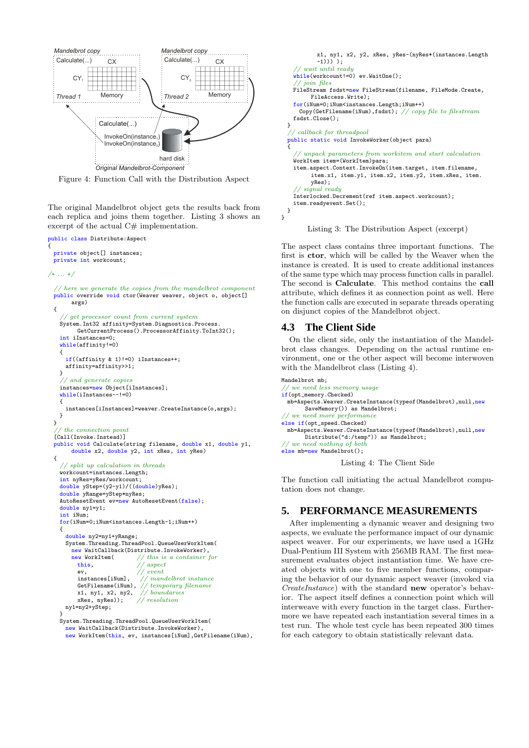

Figure 4: Function Call with the Distribution Aspect

The original Mandelbrot object gets the results back from each replica and joins them together. Listing 3 shows an excerpt of the actual  $C#$  implementation.

```
public class Distribute:Aspect
{
  private object[] instances;
 private int workcount;
/∗ ... ∗/
   // here we generate the copies from the mandelbrot component
 public override void ctor(Weaver weaver, object o, object[]
        args)
  {
     // get processor count from current system
    System.Int32 affinity=System.Diagnostics.Process.
          GetCurrentProcess().ProcessorAffinity.ToInt32();
    int iInstances=0;
    while(affinity!=0)
    {
      if((affinity & 1)!=0) iInstances++;
      affinity=affinity>>1;
    \overline{1}// and generate copies
    instances=new Object[iInstances];
    while(iInstances--!=0)
    {
      instances[iInstances]=weaver.CreateInstance(o,args);
    }
 \overline{ }// the connection point
  [Call(Invoke.Instead)]
 public void Calculate(string filename, double x1, double y1,
        double x2, double y2, int xRes, int yRes)
  {
     // split up calculation in threads
    workcount=instances.Length;
    int nyRes=yRes/workcount;
    double yStep=(y2-y1)/((double)yRes);
    double yRange=yStep*nyRes;
    AutoResetEvent ev=new AutoResetEvent(false);
    double ny1=y1;
    int iNum;
    for(iNum=0;iNum<instances.Length-1;iNum++)
    {
      double ny2=ny1+yRange;
      System.Threading.ThreadPool.QueueUserWorkItem(
        new WaitCallback(Distribute.InvokeWorker)<br>new WorkItem( // this is a container
          NorkItem( // this is a container for this.<br>\frac{1}{2} // aspect
                                   aspectev, \frac{1}{2} instances[iNum], \frac{1}{2} // man
          instances[iNum], // mandelbrot instance<br>GetFilename(iNum), // temporary filename
                                    temporary filename
          x1, ny1, x2, ny2, \frac{1}{10} boundaries<br>xRes. nvRes)): \frac{1}{10} resolution
          xRes, nyRes));
      ny1=ny2+yStep;
    }
    System.Threading.ThreadPool.QueueUserWorkItem(
      new WaitCallback(Distribute.InvokeWorker),
```

```
new WorkItem(this, ev, instances[iNum],GetFilename(iNum),
```

```
x1, ny1, x2, y2, xRes, yRes-(nyRes*(instances.Length
           -1))) );
    // wait until ready
    whilel(workcount!=0) ev. WaitOne();
    // join files
    FileStream fsdst=new FileStream(filename, FileMode.Create,
         FileAccess.Write);
    for(iNum=0;iNum<instances.Length;iNum++)
     Copy(GetFilename(iNum),fsdst); // copy file to filestream
   fsdst.Close();
  }
  // callback for threadpool
  public static void InvokeWorker(object para)
  {
     // unpack parameters from workitem and start calculation
    WorkItem item=(WorkItem)para;
   item.aspect.Context.InvokeOn(item.target, item.filename,
         item.x1, item.y1, item.x2, item.y2, item.xRes, item.
         yRes);
     // signal ready
    Interlocked.Decrement(ref item.aspect.workcount);
    item.readyevent.Set();
 }
}
```
Listing 3: The Distribution Aspect (excerpt)

The aspect class contains three important functions. The first is ctor, which will be called by the Weaver when the instance is created. It is used to create additional instances of the same type which may process function calls in parallel. The second is Calculate. This method contains the call attribute, which defines it as connection point as well. Here the function calls are executed in separate threads operating on disjunct copies of the Mandelbrot object.

# **4.3 The Client Side**

On the client side, only the instantiation of the Mandelbrot class changes. Depending on the actual runtime environment, one or the other aspect will become interwoven with the Mandelbrot class (Listing 4).

```
Mandelbrot mb;
   we need less memory usage
if(opt_memory.Checked)
  mb=Aspects.Weaver.CreateInstance(typeof(Mandelbrot),null,new
       SaveMemory()) as Mandelbrot;
 // we need more performance
else if(opt_speed.Checked)
 mb=Aspects.Weaver.CreateInstance(typeof(Mandelbrot),null,new
       Distribute("d:/temp")) as Mandelbrot;
 // we need nothing of both
else mb=new Mandelbrot();
```
Listing 4: The Client Side

The function call initiating the actual Mandelbrot computation does not change.

# **5. PERFORMANCE MEASUREMENTS**

After implementing a dynamic weaver and designing two aspects, we evaluate the performance impact of our dynamic aspect weaver. For our experiments, we have used a 1GHz Dual-Pentium III System with 256MB RAM. The first measurement evaluates object instantiation time. We have created objects with one to five member functions, comparing the behavior of our dynamic aspect weaver (invoked via CreateInstance) with the standard new operator's behavior. The aspect itself defines a connection point which will interweave with every function in the target class. Furthermore we have repeated each instantiation several times in a test run. The whole test cycle has been repeated 300 times for each category to obtain statistically relevant data.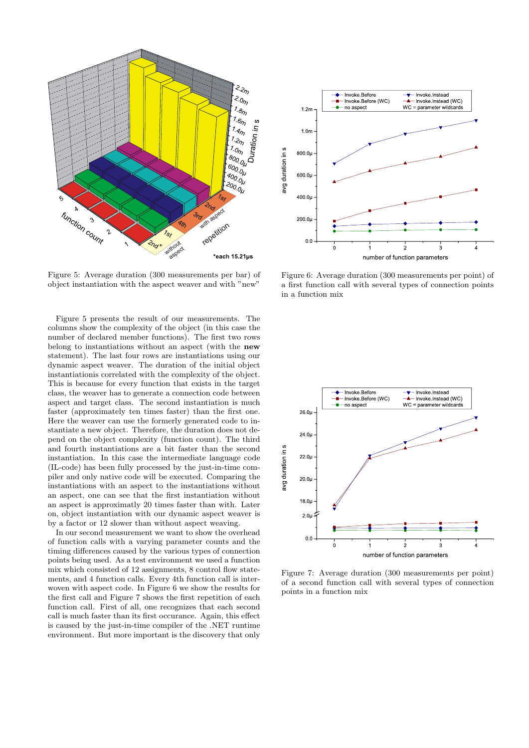

Figure 5: Average duration (300 measurements per bar) of object instantiation with the aspect weaver and with "new"

Figure 5 presents the result of our measurements. The columns show the complexity of the object (in this case the number of declared member functions). The first two rows belong to instantiations without an aspect (with the new statement). The last four rows are instantiations using our dynamic aspect weaver. The duration of the initial object instantiationis correlated with the complexity of the object. This is because for every function that exists in the target class, the weaver has to generate a connection code between aspect and target class. The second instantiation is much faster (approximately ten times faster) than the first one. Here the weaver can use the formerly generated code to instantiate a new object. Therefore, the duration does not depend on the object complexity (function count). The third and fourth instantiations are a bit faster than the second instantiation. In this case the intermediate language code (IL-code) has been fully processed by the just-in-time compiler and only native code will be executed. Comparing the instantiations with an aspect to the instantiations without an aspect, one can see that the first instantiation without an aspect is approximatly 20 times faster than with. Later on, object instantiation with our dynamic aspect weaver is by a factor or 12 slower than without aspect weaving.

In our second measurement we want to show the overhead of function calls with a varying parameter counts and the timing differences caused by the various types of connection points being used. As a test environment we used a function mix which consisted of 12 assignments, 8 control flow statements, and 4 function calls. Every 4th function call is interwoven with aspect code. In Figure 6 we show the results for the first call and Figure 7 shows the first repetition of each function call. First of all, one recognizes that each second call is much faster than its first occurance. Again, this effect is caused by the just-in-time compiler of the .NET runtime environment. But more important is the discovery that only



Figure 6: Average duration (300 measurements per point) of a first function call with several types of connection points in a function mix



Figure 7: Average duration (300 measurements per point) of a second function call with several types of connection points in a function mix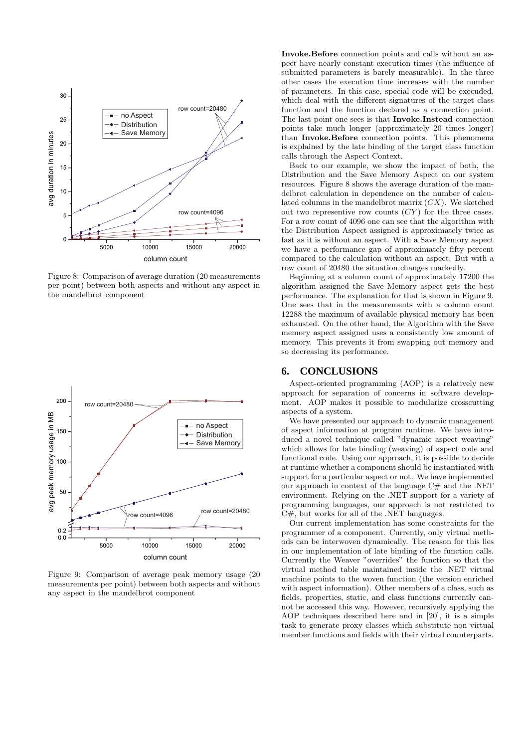

Figure 8: Comparison of average duration (20 measurements per point) between both aspects and without any aspect in the mandelbrot component



Figure 9: Comparison of average peak memory usage (20 measurements per point) between both aspects and without any aspect in the mandelbrot component

Invoke.Before connection points and calls without an aspect have nearly constant execution times (the influence of submitted parameters is barely measurable). In the three other cases the execution time increases with the number of parameters. In this case, special code will be execuded, which deal with the different signatures of the target class function and the function declared as a connection point. The last point one sees is that Invoke.Instead connection points take much longer (approximately 20 times longer) than Invoke.Before connection points. This phenomena is explained by the late binding of the target class function calls through the Aspect Context.

Back to our example, we show the impact of both, the Distribution and the Save Memory Aspect on our system resources. Figure 8 shows the average duration of the mandelbrot calculation in dependence on the number of calculated columns in the mandelbrot matrix  $(CX)$ . We sketched out two representive row counts  $(CY)$  for the three cases. For a row count of 4096 one can see that the algorithm with the Distribution Aspect assigned is approximately twice as fast as it is without an aspect. With a Save Memory aspect we have a performance gap of approximately fifty percent compared to the calculation without an aspect. But with a row count of 20480 the situation changes markedly.

Beginning at a column count of approximately 17200 the algorithm assigned the Save Memory aspect gets the best performance. The explanation for that is shown in Figure 9. One sees that in the measurements with a column count 12288 the maximum of available physical memory has been exhausted. On the other hand, the Algorithm with the Save memory aspect assigned uses a consistently low amount of memory. This prevents it from swapping out memory and so decreasing its performance.

#### **6. CONCLUSIONS**

Aspect-oriented programming (AOP) is a relatively new approach for separation of concerns in software development. AOP makes it possible to modularize crosscutting aspects of a system.

We have presented our approach to dynamic management of aspect information at program runtime. We have introduced a novel technique called "dynamic aspect weaving" which allows for late binding (weaving) of aspect code and functional code. Using our approach, it is possible to decide at runtime whether a component should be instantiated with support for a particular aspect or not. We have implemented our approach in context of the language  $C#$  and the .NET environment. Relying on the .NET support for a variety of programming languages, our approach is not restricted to C#, but works for all of the .NET languages.

Our current implementation has some constraints for the programmer of a component. Currently, only virtual methods can be interwoven dynamically. The reason for this lies in our implementation of late binding of the function calls. Currently the Weaver "overrides" the function so that the virtual method table maintained inside the .NET virtual machine points to the woven function (the version enriched with aspect information). Other members of a class, such as fields, properties, static, and class functions currently cannot be accessed this way. However, recursively applying the AOP techniques described here and in [20], it is a simple task to generate proxy classes which substitute non virtual member functions and fields with their virtual counterparts.